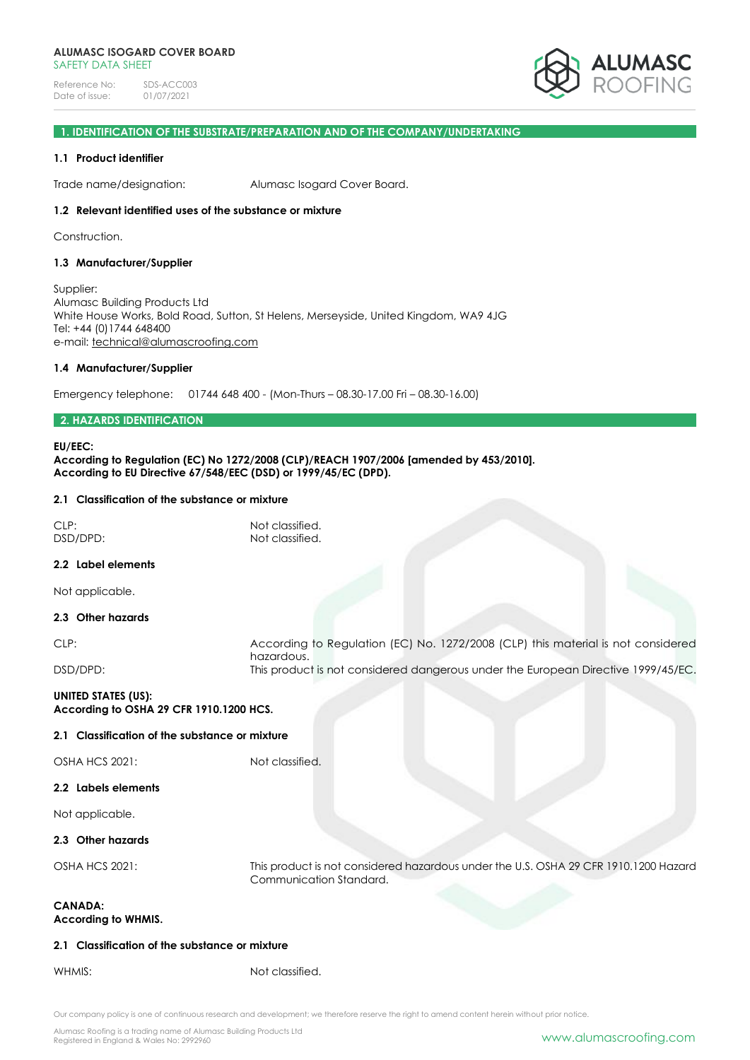

# **1. IDENTIFICATION OF THE SUBSTRATE/PREPARATION AND OF THE COMPANY/UNDERTAKING**

## **1.1 Product identifier**

Trade name/designation: Alumasc Isogard Cover Board.

## **1.2 Relevant identified uses of the substance or mixture**

Construction.

### **1.3 Manufacturer/Supplier**

Supplier: Alumasc Building Products Ltd White House Works, Bold Road, Sutton, St Helens, Merseyside, United Kingdom, WA9 4JG Tel: +44 (0)1744 648400 e-mail: [technical@alumascroofing.com](mailto:technical@alumascroofing.com)

### **1.4 Manufacturer/Supplier**

Emergency telephone: 01744 648 400 - (Mon-Thurs – 08.30-17.00 Fri – 08.30-16.00)

# **2. HAZARDS IDENTIFICATION**

#### **EU/EEC:**

**According to Regulation (EC) No 1272/2008 (CLP)/REACH 1907/2006 [amended by 453/2010]. According to EU Directive 67/548/EEC (DSD) or 1999/45/EC (DPD).**

### **2.1 Classification of the substance or mixture**

| CLP:<br>DSD/DPD:                                                      | Not classified.<br>Not classified.                                                             |
|-----------------------------------------------------------------------|------------------------------------------------------------------------------------------------|
| 2.2 Label elements                                                    |                                                                                                |
| Not applicable.                                                       |                                                                                                |
| 2.3 Other hazards                                                     |                                                                                                |
| CLP:                                                                  | According to Regulation (EC) No. 1272/2008 (CLP) this material is not considered<br>hazardous. |
| DSD/DPD:                                                              | This product is not considered dangerous under the European Directive 1999/45/EC.              |
| <b>UNITED STATES (US):</b><br>According to OSHA 29 CFR 1910.1200 HCS. |                                                                                                |
| 2.1 Classification of the substance or mixture                        |                                                                                                |
| <b>OSHA HCS 2021:</b>                                                 | Not classified.                                                                                |
| 2.2 Labels elements                                                   |                                                                                                |
| Not applicable.                                                       |                                                                                                |
| 2.3 Other hazards                                                     |                                                                                                |

OSHA HCS 2021: This product is not considered hazardous under the U.S. OSHA 29 CFR 1910.1200 Hazard Communication Standard.

# **CANADA: According to WHMIS.**

# **2.1 Classification of the substance or mixture**

WHMIS: Not classified.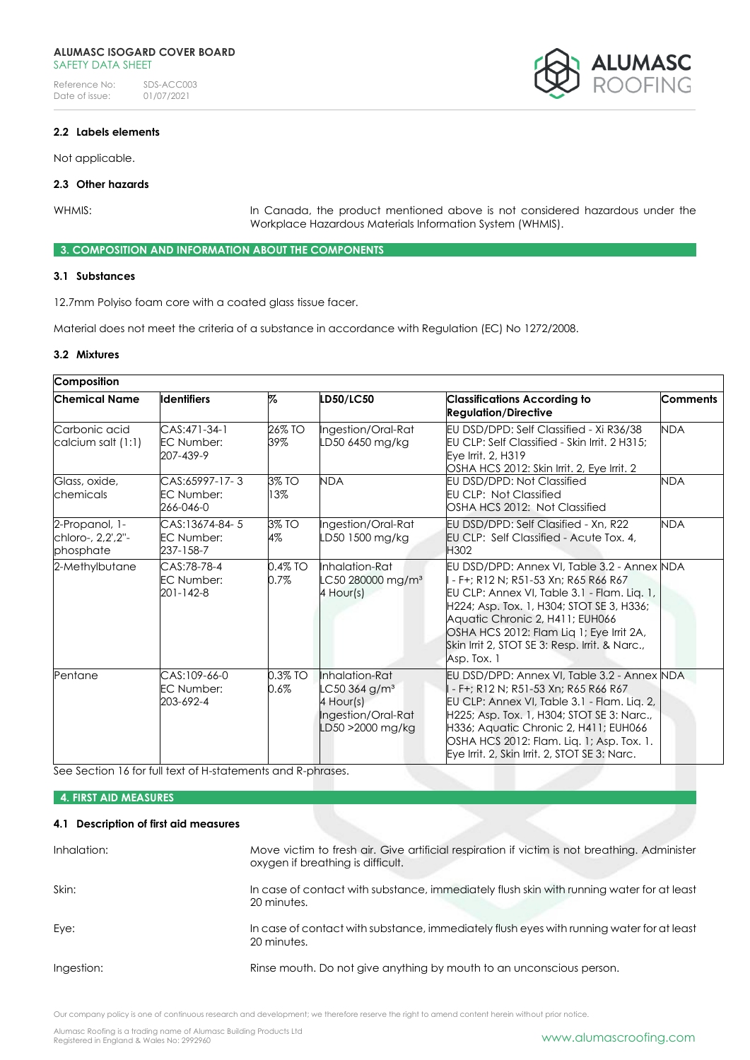

# **2.2 Labels elements**

Not applicable.

# **2.3 Other hazards**

WHMIS: VIERNIS: In Canada, the product mentioned above is not considered hazardous under the Workplace Hazardous Materials Information System (WHMIS).

## **3. COMPOSITION AND INFORMATION ABOUT THE COMPONENTS**

# **3.1 Substances**

12.7mm Polyiso foam core with a coated glass tissue facer.

Material does not meet the criteria of a substance in accordance with Regulation (EC) No 1272/2008.

# **3.2 Mixtures**

| Composition                                      |                                                                                                                                                                                                                                                                                                                                                                                                                                                                       |                                                                                                                            |                                                                                                                                         |                                                                                                                                                                                                                                                                                                                        |            |
|--------------------------------------------------|-----------------------------------------------------------------------------------------------------------------------------------------------------------------------------------------------------------------------------------------------------------------------------------------------------------------------------------------------------------------------------------------------------------------------------------------------------------------------|----------------------------------------------------------------------------------------------------------------------------|-----------------------------------------------------------------------------------------------------------------------------------------|------------------------------------------------------------------------------------------------------------------------------------------------------------------------------------------------------------------------------------------------------------------------------------------------------------------------|------------|
| Chemical Name                                    | <b>Identifiers</b>                                                                                                                                                                                                                                                                                                                                                                                                                                                    | %                                                                                                                          | LD50/LC50                                                                                                                               | <b>Classifications According to</b><br><b>Regulation/Directive</b>                                                                                                                                                                                                                                                     | Comments   |
| Carbonic acid<br>calcium salt (1:1)              | $CAS:471-34-1$<br><b>EC Number:</b><br>207-439-9                                                                                                                                                                                                                                                                                                                                                                                                                      | 26% TO<br>39%                                                                                                              | Ingestion/Oral-Rat<br>LD50 6450 mg/kg                                                                                                   | EU DSD/DPD: Self Classified - Xi R36/38<br>EU CLP: Self Classified - Skin Irrit, 2 H315;<br>Eye Irrit, 2, H319<br>OSHA HCS 2012: Skin Irrit, 2, Eve Irrit, 2                                                                                                                                                           | <b>NDA</b> |
| Glass, oxide,<br>chemicals                       | CAS:65997-17-3<br>EC Number:<br>266-046-0                                                                                                                                                                                                                                                                                                                                                                                                                             | <b>NDA</b><br>3% TO<br>EU DSD/DPD: Not Classified<br>13%<br><b>EU CLP: Not Classified</b><br>OSHA HCS 2012: Not Classified |                                                                                                                                         | <b>NDA</b>                                                                                                                                                                                                                                                                                                             |            |
| 2-Propanol, 1-<br>chloro-, 2,2',2"-<br>phosphate | CAS:13674-84-5<br><b>EC Number:</b><br>237-158-7                                                                                                                                                                                                                                                                                                                                                                                                                      | 3% TO<br>4%                                                                                                                | Ingestion/Oral-Rat<br>EU DSD/DPD: Self Clasified - Xn, R22<br>LD50 1500 mg/kg<br><b>EU CLP: Self Classified - Acute Tox. 4.</b><br>H302 |                                                                                                                                                                                                                                                                                                                        | <b>NDA</b> |
| 2-Methylbutane                                   | $0.4\%$ TO<br>Inhalation-Rat<br>CAS:78-78-4<br>EU DSD/DPD: Annex VI, Table 3.2 - Annex NDA<br><b>EC Number:</b><br>0.7%<br>LC50 280000 mg/m <sup>3</sup><br>- F+; R12 N; R51-53 Xn; R65 R66 R67<br>201-142-8<br>4 Hour(s)<br>EU CLP: Annex VI, Table 3.1 - Flam. Lig. 1,<br>H224; Asp. Tox. 1, H304; STOT SE 3, H336;<br>Aquatic Chronic 2, H411; EUH066<br>OSHA HCS 2012: Flam Liq 1; Eye Irrit 2A,<br>Skin Irrit 2, STOT SE 3: Resp. Irrit. & Narc.,<br>Asp. Tox. 1 |                                                                                                                            |                                                                                                                                         |                                                                                                                                                                                                                                                                                                                        |            |
| Pentane                                          | CAS:109-66-0<br><b>EC Number:</b><br>203-692-4                                                                                                                                                                                                                                                                                                                                                                                                                        | 0.3% TO<br>$0.6\%$                                                                                                         | Inhalation-Rat<br>LC50 364 g/m <sup>3</sup><br>4 Hour(s)<br>Ingestion/Oral-Rat<br>LD50 >2000 mg/kg                                      | EU DSD/DPD: Annex VI, Table 3.2 - Annex NDA<br>- F+; R12 N; R51-53 Xn; R65 R66 R67<br>EU CLP: Annex VI, Table 3.1 - Flam. Lig. 2,<br>H225; Asp. Tox. 1, H304; STOT SE 3: Narc.,<br>H336; Aquatic Chronic 2, H411; EUH066<br>OSHA HCS 2012: Flam. Liq. 1; Asp. Tox. 1.<br>Eye Irrit. 2, Skin Irrit. 2, STOT SE 3: Narc. |            |

See Section 16 for full text of H-statements and R-phrases.

# **4. FIRST AID MEASURES**

# **4.1 Description of first aid measures**

| Inhalation: | Move victim to fresh air. Give artificial respiration if victim is not breathing. Administer<br>oxygen if breathing is difficult. |
|-------------|-----------------------------------------------------------------------------------------------------------------------------------|
| Skin:       | In case of contact with substance, immediately flush skin with running water for at least<br>20 minutes.                          |
| Eye:        | In case of contact with substance, immediately flush eyes with running water for at least<br>20 minutes.                          |
| Ingestion:  | Rinse mouth. Do not give anything by mouth to an unconscious person.                                                              |

Our company policy is one of continuous research and development; we therefore reserve the right to amend content herein without prior notice.

Alumasc Roofing is a trading name of Alumasc Building Products Ltd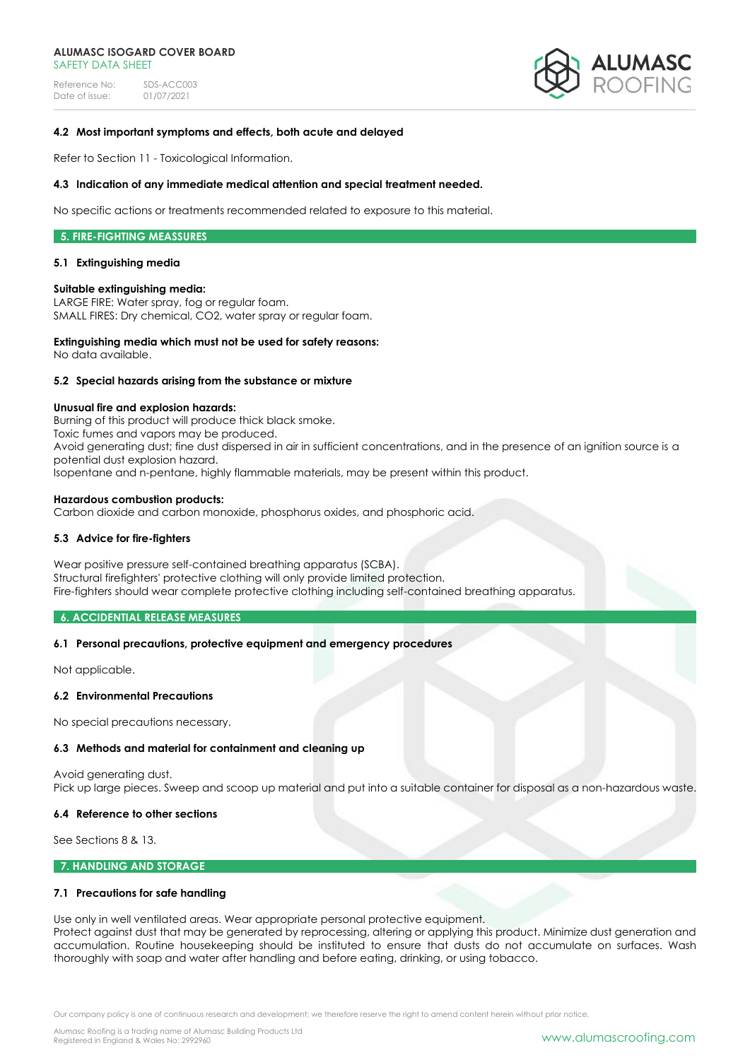Reference No: SDS-ACC003<br>Date of issue: 01/07/2021 Date of issue:



## **4.2 Most important symptoms and effects, both acute and delayed**

Refer to Section 11 - Toxicological Information.

#### **4.3 Indication of any immediate medical attention and special treatment needed.**

No specific actions or treatments recommended related to exposure to this material.

## **5. FIRE-FIGHTING MEASSURES**

#### **5.1 Extinguishing media**

### **Suitable extinguishing media:**

LARGE FIRE: Water spray, fog or regular foam. SMALL FIRES: Dry chemical, CO2, water spray or regular foam.

### **Extinguishing media which must not be used for safety reasons:**

No data available.

### **5.2 Special hazards arising from the substance or mixture**

#### **Unusual fire and explosion hazards:**

Burning of this product will produce thick black smoke. Toxic fumes and vapors may be produced. Avoid generating dust; fine dust dispersed in air in sufficient concentrations, and in the presence of an ignition source is a potential dust explosion hazard. Isopentane and n-pentane, highly flammable materials, may be present within this product.

### **Hazardous combustion products:**

Carbon dioxide and carbon monoxide, phosphorus oxides, and phosphoric acid.

# **5.3 Advice for fire-fighters**

Wear positive pressure self-contained breathing apparatus (SCBA). Structural firefighters' protective clothing will only provide limited protection. Fire-fighters should wear complete protective clothing including self-contained breathing apparatus.

#### **6. ACCIDENTIAL RELEASE MEASURES**

# **6.1 Personal precautions, protective equipment and emergency procedures**

Not applicable.

#### **6.2 Environmental Precautions**

No special precautions necessary.

# **6.3 Methods and material for containment and cleaning up**

Avoid generating dust. Pick up large pieces. Sweep and scoop up material and put into a suitable container for disposal as a non-hazardous waste.

#### **6.4 Reference to other sections**

See Sections 8 & 13.

# **7. HANDLING AND STORAGE**

# **7.1 Precautions for safe handling**

Use only in well ventilated areas. Wear appropriate personal protective equipment.

Protect against dust that may be generated by reprocessing, altering or applying this product. Minimize dust generation and accumulation. Routine housekeeping should be instituted to ensure that dusts do not accumulate on surfaces. Wash thoroughly with soap and water after handling and before eating, drinking, or using tobacco.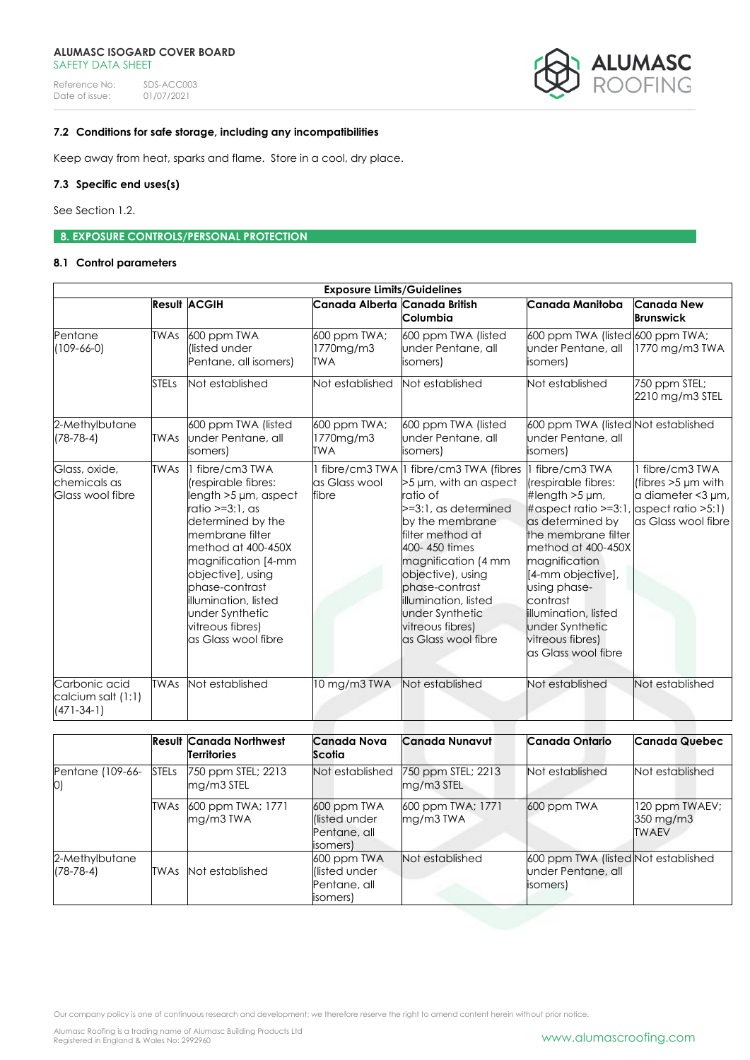

# **7.2 Conditions for safe storage, including any incompatibilities**

Keep away from heat, sparks and flame. Store in a cool, dry place.

# **7.3 Specific end uses(s)**

See Section 1.2.

**8. EXPOSURE CONTROLS/PERSONAL PROTECTION** 

# **8.1 Control parameters**

| <b>Exposure Limits/Guidelines</b>                   |              |                                                                                                                                                                                                                                                                                                         |                                  |                                                                                                                                                                                                                                                                                                                |                                                                                                                                                                                                                                                                                                                                        |                                                                                        |
|-----------------------------------------------------|--------------|---------------------------------------------------------------------------------------------------------------------------------------------------------------------------------------------------------------------------------------------------------------------------------------------------------|----------------------------------|----------------------------------------------------------------------------------------------------------------------------------------------------------------------------------------------------------------------------------------------------------------------------------------------------------------|----------------------------------------------------------------------------------------------------------------------------------------------------------------------------------------------------------------------------------------------------------------------------------------------------------------------------------------|----------------------------------------------------------------------------------------|
|                                                     |              | <b>Result ACGIH</b>                                                                                                                                                                                                                                                                                     | Canada Alberta Canada British    | Columbia                                                                                                                                                                                                                                                                                                       | Canada Manitoba                                                                                                                                                                                                                                                                                                                        | <b>Canada New</b><br><b>Brunswick</b>                                                  |
| Pentane<br>$(109-66-0)$                             | <b>TWAs</b>  | 600 ppm TWA<br>llisted under<br>Pentane, all isomers)                                                                                                                                                                                                                                                   | 600 ppm TWA;<br>1770mg/m3<br>TWA | 600 ppm TWA (listed<br>under Pentane, all<br>isomers)                                                                                                                                                                                                                                                          | 600 ppm TWA (listed 600 ppm TWA;<br>under Pentane, all<br>isomers)                                                                                                                                                                                                                                                                     | $1770$ mg/m $3$ TWA                                                                    |
|                                                     | <b>STELs</b> | Not established                                                                                                                                                                                                                                                                                         | Not established                  | Not established                                                                                                                                                                                                                                                                                                | Not established                                                                                                                                                                                                                                                                                                                        | 750 ppm STEL;<br>2210 mg/m3 STEL                                                       |
| 2-Methylbutane<br>$(78-78-4)$                       | <b>TWAs</b>  | 600 ppm TWA (listed<br>under Pentane, all<br>isomers)                                                                                                                                                                                                                                                   | 600 ppm TWA;<br>1770mg/m3<br>TWA | 600 ppm TWA (listed<br>under Pentane, all<br>isomers)                                                                                                                                                                                                                                                          | 600 ppm TWA (listed Not established<br>under Pentane, all<br>isomers)                                                                                                                                                                                                                                                                  |                                                                                        |
| Glass, oxide,<br>chemicals as<br>Glass wool fibre   | <b>TWAs</b>  | fibre/cm3 TWA<br>(respirable fibres:<br>length $>5 \mu m$ , aspect<br>ratio >=3:1, as<br>determined by the<br>membrane filter<br>method at 400-450X<br>magnification [4-mm<br>objective], using<br>phase-contrast<br>illumination, listed<br>under Synthetic<br>vitreous fibres)<br>as Glass wool fibre | as Glass wool<br>fibre           | fibre/cm3 TWA   fibre/cm3 TWA (fibres<br>>5 µm, with an aspect<br>ratio of<br>>=3:1, as determined<br>by the membrane<br>filter method at<br>400-450 times<br>magnification (4 mm<br>objective), using<br>phase-contrast<br>Illumination, listed<br>under Synthetic<br>vitreous fibres)<br>as Glass wool fibre | I fibre/cm3 TWA<br>(respirable fibres:<br>#length $>5 \mu m$ ,<br>$\#$ aspect ratio >=3:1, aspect ratio >5:1)<br>as determined by<br>the membrane filter<br>method at 400-450X<br>magnification<br>[4-mm objective],<br>using phase-<br>contrast<br>Illumination, listed<br>under Synthetic<br>vitreous fibres)<br>as Glass wool fibre | 1 fibre/cm3 TWA<br>(fibres $>5 \mu m$ with<br>a diameter <3 µm,<br>as Glass wool fibre |
| Carbonic acid<br>calcium salt (1:1)<br>$(471-34-1)$ | <b>TWAs</b>  | Not established                                                                                                                                                                                                                                                                                         | 10 mg/m3 TWA                     | Not established                                                                                                                                                                                                                                                                                                | Not established                                                                                                                                                                                                                                                                                                                        | Not established                                                                        |

|                               |              | <b>Result Canada Northwest</b><br><b>Territories</b> | <b>Canada Nova</b><br>Scotia                            | Canada Nunavut                   | Canada Ontario                                                        | <b>Canada Quebec</b>                        |
|-------------------------------|--------------|------------------------------------------------------|---------------------------------------------------------|----------------------------------|-----------------------------------------------------------------------|---------------------------------------------|
| Pentane (109-66-<br>0)        | <b>STELs</b> | 750 ppm STEL; 2213<br>mg/m3 STEL                     | Not established                                         | 750 ppm STEL; 2213<br>mg/m3 STEL | Not established                                                       | Not established                             |
|                               | <b>TWAs</b>  | 600 ppm TWA; 1771<br>mg/m3TWA                        | 600 ppm TWA<br>listed under<br>Pentane, all<br>isomers) | 600 ppm TWA; 1771<br>$mg/m3$ TWA | 600 ppm TWA                                                           | 120 ppm TWAEV;<br>350 mg/m3<br><b>TWAEV</b> |
| 2-Methylbutane<br>$(78-78-4)$ | TWAs         | Not established                                      | 600 ppm TWA<br>listed under<br>Pentane, all<br>isomers) | Not established                  | 600 ppm TWA (listed Not established<br>under Pentane, all<br>isomers) |                                             |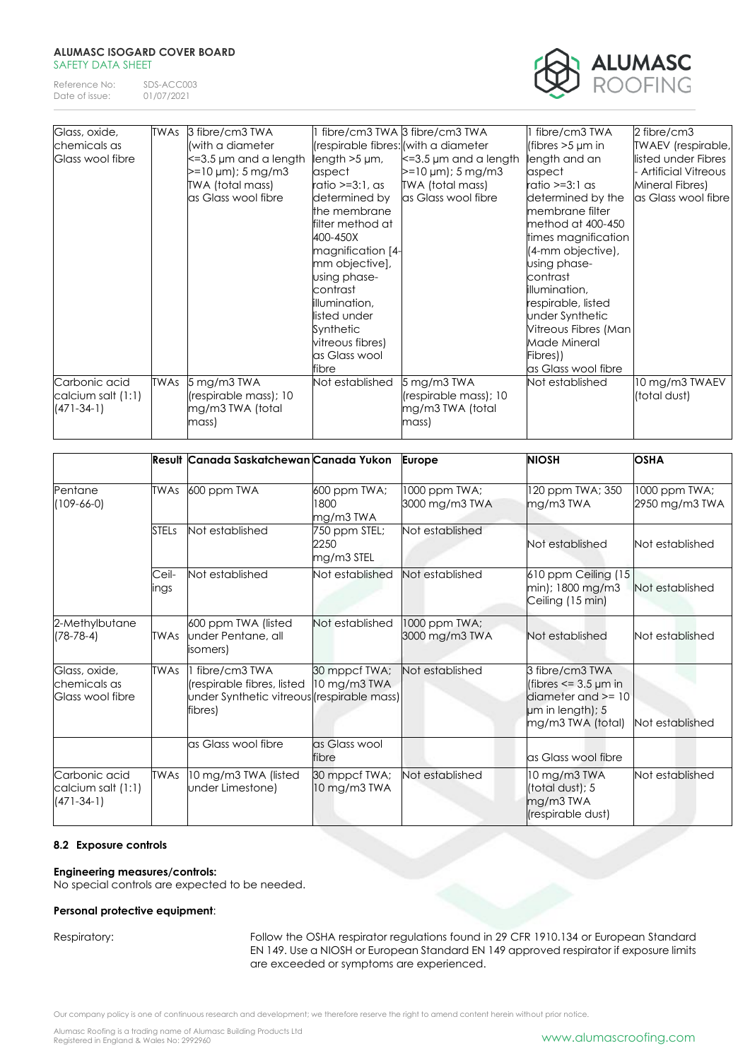Reference No: SDS-ACC003<br>Date of issue: 01/07/2021 Date of issue:



| Glass, oxide,      | <b>TWAs</b> | 3 fibre/cm3 TWA             |                     | fibre/cm3 TWA 3 fibre/cm3 TWA        | 1 fibre/cm3 TWA       | 2 fibre/cm3         |
|--------------------|-------------|-----------------------------|---------------------|--------------------------------------|-----------------------|---------------------|
| chemicals as       |             | (with a diameter            |                     | (respirable fibres: (with a diameter | (fibres $>5 \mu m$ in | TWAEV (respirable,  |
| Glass wool fibre   |             | $\leq$ =3.5 µm and a length | length $>5 \mu m$ , | $\leq$ =3.5 µm and a length          | length and an         | listed under Fibres |
|                    |             | $>=10 \mu m$ ; 5 mg/m3      | aspect              | $>=10 \mu m$ ; 5 mg/m3               | aspect                | Artificial Vitreous |
|                    |             | TWA (total mass)            | ratio >=3:1, as     | TWA (total mass)                     | ratio >=3:1 as        | Mineral Fibres)     |
|                    |             | as Glass wool fibre         | determined by       | as Glass wool fibre                  | determined by the     | as Glass wool fibre |
|                    |             |                             | the membrane        |                                      | membrane filter       |                     |
|                    |             |                             | filter method at    |                                      | method at 400-450     |                     |
|                    |             |                             | 400-450X            |                                      | times magnification   |                     |
|                    |             |                             | magnification [4-   |                                      | (4-mm objective),     |                     |
|                    |             |                             | mm objective],      |                                      | using phase-          |                     |
|                    |             |                             | using phase-        |                                      | contrast              |                     |
|                    |             |                             | contrast            |                                      | illumination,         |                     |
|                    |             |                             | illumination,       |                                      | respirable, listed    |                     |
|                    |             |                             | listed under        |                                      | under Synthetic       |                     |
|                    |             |                             | Synthetic           |                                      | Vitreous Fibres (Man  |                     |
|                    |             |                             | vitreous fibres)    |                                      | Made Mineral          |                     |
|                    |             |                             | as Glass wool       |                                      | Fibres))              |                     |
|                    |             |                             | fibre               |                                      | as Glass wool fibre   |                     |
| Carbonic acid      | <b>TWAs</b> | 5 mg/m3 TWA                 | Not established     | 5 mg/m3 TWA                          | Not established       | 10 mg/m3 TWAEV      |
| calcium salt (1:1) |             | (respirable mass); 10       |                     | (respirable mass); 10                |                       | (total dust)        |
| $(471 - 34 - 1)$   |             | mg/m3 TWA (total            |                     | mg/m3 TWA (total                     |                       |                     |
|                    |             | mass)                       |                     | mass)                                |                       |                     |
|                    |             |                             |                     |                                      |                       |                     |

|                                                     |               | Result Canada Saskatchewan Canada Yukon                                                              |                                     | <b>Europe</b>                   | <b>NIOSH</b>                                                                                                 | <b>OSHA</b>                     |
|-----------------------------------------------------|---------------|------------------------------------------------------------------------------------------------------|-------------------------------------|---------------------------------|--------------------------------------------------------------------------------------------------------------|---------------------------------|
| Pentane<br>$109 - 66 - 0$                           | <b>TWAs</b>   | 600 ppm TWA                                                                                          | 600 ppm TWA;<br>1800<br>mg/m3 TWA   | 1000 ppm TWA;<br>3000 mg/m3 TWA | 120 ppm TWA; 350<br>mg/m3 TWA                                                                                | 1000 ppm TWA;<br>2950 mg/m3 TWA |
|                                                     | <b>STELs</b>  | Not established                                                                                      | 750 ppm STEL;<br>2250<br>mg/m3 STEL | Not established                 | Not established                                                                                              | Not established                 |
|                                                     | Ceil-<br>ings | Not established                                                                                      | Not established                     | Not established                 | 610 ppm Ceiling (15<br>min); 1800 mg/m3<br>Ceiling (15 min)                                                  | Not established                 |
| 2-Methylbutane<br>$(78-78-4)$                       | TWAs          | 600 ppm TWA (listed<br>under Pentane, all<br>isomers)                                                | Not established                     | 1000 ppm TWA;<br>3000 mg/m3 TWA | Not established                                                                                              | Not established                 |
| Glass, oxide,<br>chemicals as<br>Glass wool fibre   | <b>TWAs</b>   | fibre/cm3 TWA<br>(respirable fibres, listed<br>under Synthetic vitreous (respirable mass)<br>fibres) | 30 mppcf TWA;<br>10 mg/m3 TWA       | Not established                 | 3 fibre/cm3 TWA<br>(fibres $\leq$ 3.5 µm in<br>diameter and $>= 10$<br>um in length); 5<br>mg/m3 TWA (total) | Not established                 |
|                                                     |               | as Glass wool fibre                                                                                  | as Glass wool<br>fibre              |                                 | as Glass wool fibre                                                                                          |                                 |
| Carbonic acid<br>calcium salt (1:1)<br>$(471-34-1)$ | <b>TWAs</b>   | 10 mg/m3 TWA (listed<br>under Limestone)                                                             | 30 mppcf TWA;<br>10 mg/m3 TWA       | Not established                 | 10 mg/m3 TWA<br>(total dust); 5<br>mg/m3 TWA<br>(respirable dust)                                            | Not established                 |

# **8.2 Exposure controls**

# **Engineering measures/controls:**

No special controls are expected to be needed.

# **Personal protective equipment**:

Respiratory: Follow the OSHA respirator regulations found in 29 CFR 1910.134 or European Standard EN 149. Use a NIOSH or European Standard EN 149 approved respirator if exposure limits are exceeded or symptoms are experienced.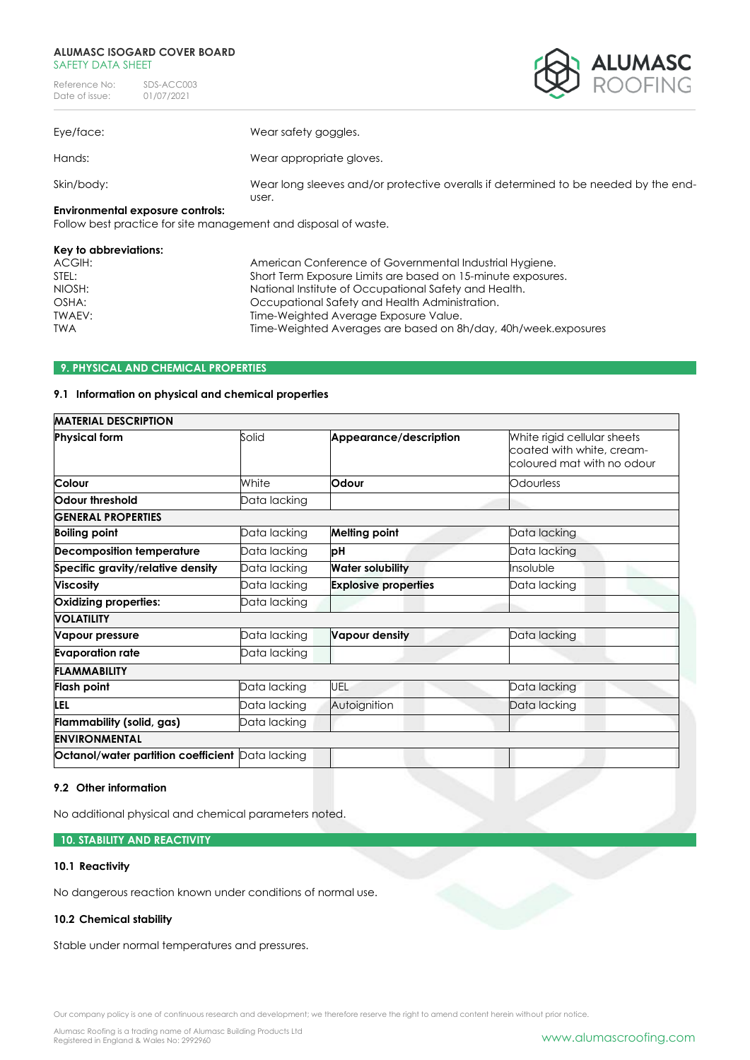| Reference No:  | SDS-ACC003 |
|----------------|------------|
| Date of issue: | 01/07/2021 |



| Eye/face:                                                      | Wear safety goggles.                                                                         |
|----------------------------------------------------------------|----------------------------------------------------------------------------------------------|
| Hands:                                                         | Wear appropriate gloves.                                                                     |
| Skin/body:                                                     | Wear long sleeves and/or protective overalls if determined to be needed by the end-<br>user. |
| Environmental exposure controls:                               |                                                                                              |
| Eallow best practice for site management and disposal of waste |                                                                                              |

Follow best practice for site management and disposal of waste.

# **Key to abbreviations:**

| ACGIH:     | American Conference of Governmental Industrial Hygiene.        |
|------------|----------------------------------------------------------------|
| STEL:      | Short Term Exposure Limits are based on 15-minute exposures.   |
| NIOSH:     | National Institute of Occupational Safety and Health.          |
| OSHA:      | Occupational Safety and Health Administration.                 |
| TWAEV:     | Time-Weighted Average Exposure Value.                          |
| <b>TWA</b> | Time-Weighted Averages are based on 8h/day, 40h/week.exposures |
|            |                                                                |

# **9. PHYSICAL AND CHEMICAL PROPERTIES**

# **9.1 Information on physical and chemical properties**

| <b>MATERIAL DESCRIPTION</b>                      |              |                             |                                                                                        |
|--------------------------------------------------|--------------|-----------------------------|----------------------------------------------------------------------------------------|
| <b>Physical form</b>                             | Solid        | Appearance/description      | White rigid cellular sheets<br>coated with white, cream-<br>coloured mat with no odour |
| Colour                                           | White        | Odour                       | Odourless                                                                              |
| Odour threshold                                  | Data lacking |                             |                                                                                        |
| <b>GENERAL PROPERTIES</b>                        |              |                             |                                                                                        |
| <b>Boiling point</b>                             | Data lacking | <b>Melting point</b>        | Data lacking                                                                           |
| <b>Decomposition temperature</b>                 | Data lacking | pН                          | Data lacking                                                                           |
| Specific gravity/relative density                | Data lacking | <b>Water solubility</b>     | Insoluble                                                                              |
| <b>Viscosity</b>                                 | Data lacking | <b>Explosive properties</b> | Data lacking                                                                           |
| Oxidizing properties:                            | Data lacking |                             |                                                                                        |
| <b>VOLATILITY</b>                                |              |                             |                                                                                        |
| Vapour pressure                                  | Data lacking | Vapour density              | Data lacking                                                                           |
| <b>Evaporation rate</b>                          | Data lacking |                             |                                                                                        |
| <b>FLAMMABILITY</b>                              |              |                             |                                                                                        |
| <b>Flash point</b>                               | Data lacking | UEL                         | Data lacking                                                                           |
| LEL                                              | Data lacking | Autoignition                | Data lacking                                                                           |
| Flammability (solid, gas)                        | Data lacking |                             |                                                                                        |
| <b>ENVIRONMENTAL</b>                             |              |                             |                                                                                        |
| Octanol/water partition coefficient Data lacking |              |                             |                                                                                        |
|                                                  |              |                             |                                                                                        |

# **9.2 Other information**

No additional physical and chemical parameters noted.

# **10. STABILITY AND REACTIVITY**

# **10.1 Reactivity**

No dangerous reaction known under conditions of normal use.

# **10.2 Chemical stability**

Stable under normal temperatures and pressures.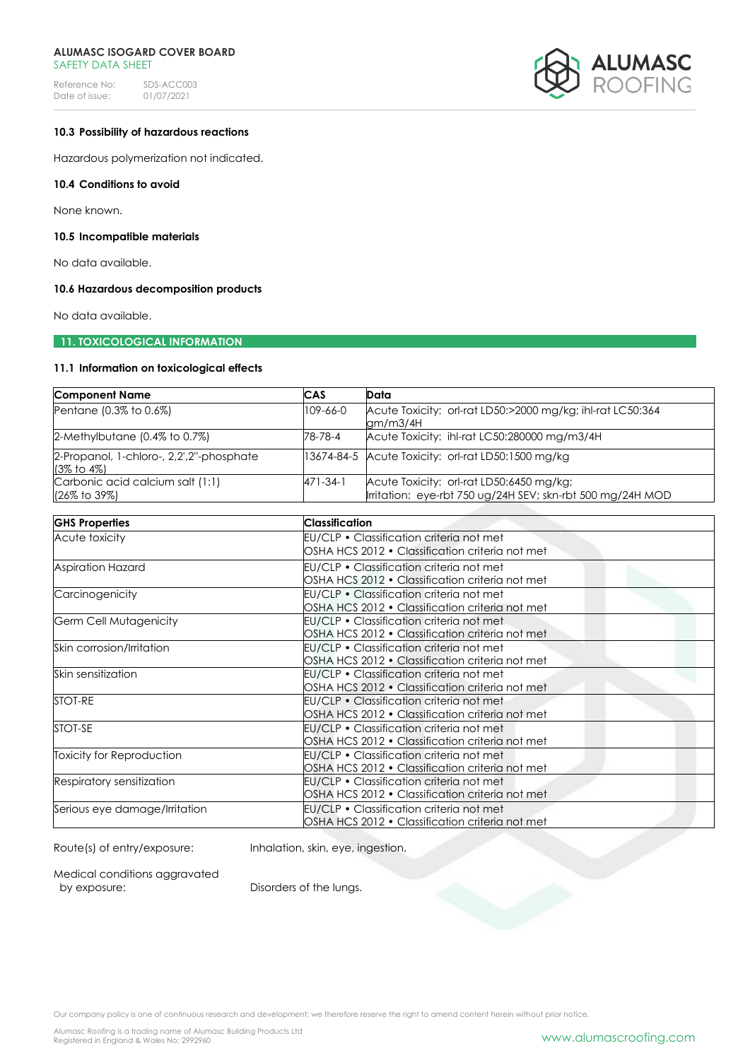Reference No: SDS-ACC003<br>Date of issue: 01/07/2021 Date of issue:



# **10.3 Possibility of hazardous reactions**

Hazardous polymerization not indicated.

# **10.4 Conditions to avoid**

None known.

## **10.5 Incompatible materials**

No data available.

# **10.6 Hazardous decomposition products**

No data available.

# **11. TOXICOLOGICAL INFORMATION**

# **11.1 Information on toxicological effects**

| <b>Component Name</b>                                               | CAS            | Data                                                                                                   |
|---------------------------------------------------------------------|----------------|--------------------------------------------------------------------------------------------------------|
| Pentane (0.3% to 0.6%)                                              | 109-66-0       | Acute Toxicity: orl-rat LD50:>2000 mg/kg; ihl-rat LC50:364<br>gm/m3/4H                                 |
| $2$ -Methylbutane (0.4% to 0.7%)                                    | 78-78-4        | Acute Toxicity: ihl-rat LC50:280000 mg/m3/4H                                                           |
| 2-Propanol, 1-chloro-, 2,2',2"-phosphate<br>$(3\% \text{ to } 4\%)$ |                | 13674-84-5 Acute Toxicity: orl-rat LD50:1500 mg/kg                                                     |
| Carbonic acid calcium salt (1:1)<br>(26% to 39%)                    | $471 - 34 - 1$ | Acute Toxicity: orl-rat LD50:6450 mg/kg;<br>Irritation: eye-rbt 750 ug/24H SEV; skn-rbt 500 mg/24H MOD |

| <b>GHS Properties</b>         | <b>Classification</b>                           |
|-------------------------------|-------------------------------------------------|
| Acute toxicity                | EU/CLP • Classification criteria not met        |
|                               | OSHA HCS 2012 • Classification criteria not met |
| <b>Aspiration Hazard</b>      | EU/CLP • Classification criteria not met        |
|                               | OSHA HCS 2012 • Classification criteria not met |
| Carcinogenicity               | EU/CLP • Classification criteria not met        |
|                               | OSHA HCS 2012 • Classification criteria not met |
| Germ Cell Mutagenicity        | EU/CLP • Classification criteria not met        |
|                               | OSHA HCS 2012 • Classification criteria not met |
| Skin corrosion/Irritation     | EU/CLP • Classification criteria not met        |
|                               | OSHA HCS 2012 • Classification criteria not met |
| Skin sensitization            | EU/CLP • Classification criteria not met        |
|                               | OSHA HCS 2012 • Classification criteria not met |
| STOT-RE                       | EU/CLP · Classification criteria not met        |
|                               | OSHA HCS 2012 • Classification criteria not met |
| STOT-SE                       | EU/CLP • Classification criteria not met        |
|                               | OSHA HCS 2012 • Classification criteria not met |
| Toxicity for Reproduction     | EU/CLP • Classification criteria not met        |
|                               | OSHA HCS 2012 • Classification criteria not met |
| Respiratory sensitization     | EU/CLP • Classification criteria not met        |
|                               | OSHA HCS 2012 • Classification criteria not met |
| Serious eye damage/Irritation | EU/CLP • Classification criteria not met        |
|                               | OSHA HCS 2012 • Classification criteria not met |

Route(s) of entry/exposure: Inhalation, skin, eye, ingestion.

Medical conditions aggravated<br>by exposure:

Disorders of the lungs.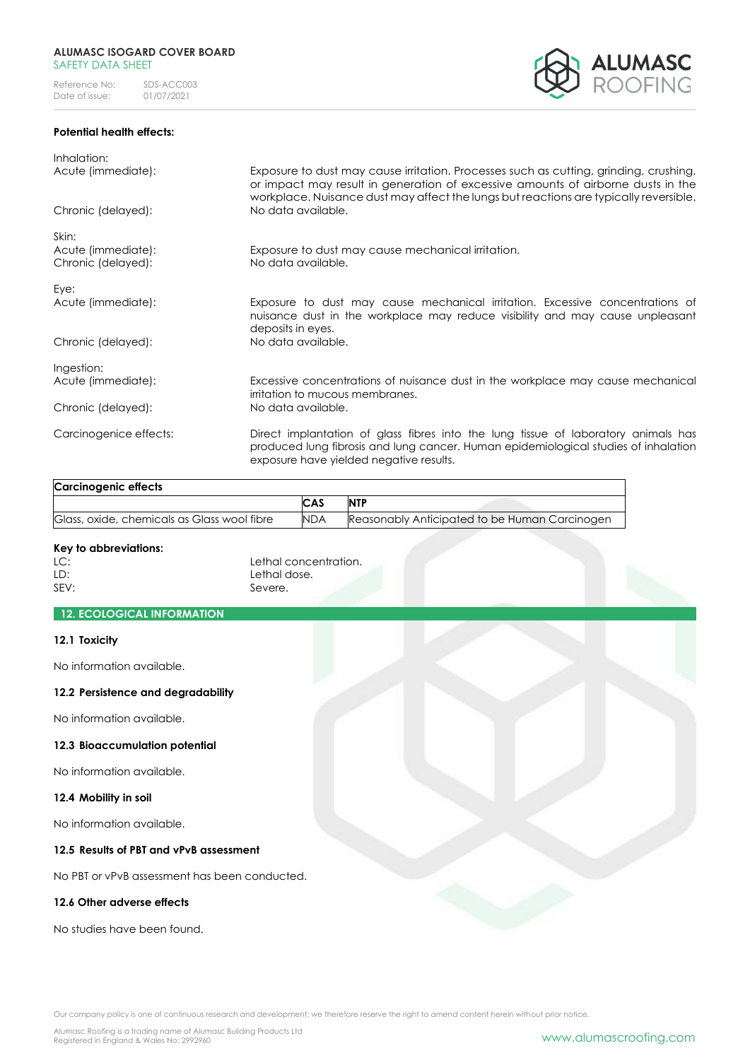# **Potential health effects:**



| Inhalation:<br>Acute (immediate):                 | Exposure to dust may cause irritation. Processes such as cutting, grinding, crushing,<br>or impact may result in generation of excessive amounts of airborne dusts in the                                            |
|---------------------------------------------------|----------------------------------------------------------------------------------------------------------------------------------------------------------------------------------------------------------------------|
| Chronic (delayed):                                | workplace. Nuisance dust may affect the lungs but reactions are typically reversible.<br>No data available.                                                                                                          |
| Skin:<br>Acute (immediate):<br>Chronic (delayed): | Exposure to dust may cause mechanical irritation.<br>No data available.                                                                                                                                              |
| Eye:<br>Acute (immediate):                        | Exposure to dust may cause mechanical irritation. Excessive concentrations of<br>nuisance dust in the workplace may reduce visibility and may cause unpleasant<br>deposits in eyes.                                  |
| Chronic (delayed):                                | No data available.                                                                                                                                                                                                   |
| Ingestion:                                        |                                                                                                                                                                                                                      |
| Acute (immediate):                                | Excessive concentrations of nuisance dust in the workplace may cause mechanical<br>irritation to mucous membranes.                                                                                                   |
| Chronic (delayed):                                | No data available.                                                                                                                                                                                                   |
| Carcinogenice effects:                            | Direct implantation of glass fibres into the lung tissue of laboratory animals has<br>produced lung fibrosis and lung cancer. Human epidemiological studies of inhalation<br>exposure have yielded negative results. |

| <b>Carcinogenic effects</b>                 |            |                                               |
|---------------------------------------------|------------|-----------------------------------------------|
|                                             | <b>CAS</b> | <b>NTF</b>                                    |
| Glass, oxide, chemicals as Glass wool fibre | <b>NDA</b> | Reasonably Anticipated to be Human Carcinogen |

# **Key to abbreviations:**

LC:<br>
Lethal concentration.<br>
Lethal dose. LD:<br>
SEV:<br>
Severe. Severe.

# **12. ECOLOGICAL INFORMATION**

# **12.1 Toxicity**

No information available.

# **12.2 Persistence and degradability**

No information available.

# **12.3 Bioaccumulation potential**

No information available.

# **12.4 Mobility in soil**

No information available.

# **12.5 Results of PBT and vPvB assessment**

No PBT or vPvB assessment has been conducted.

# **12.6 Other adverse effects**

No studies have been found.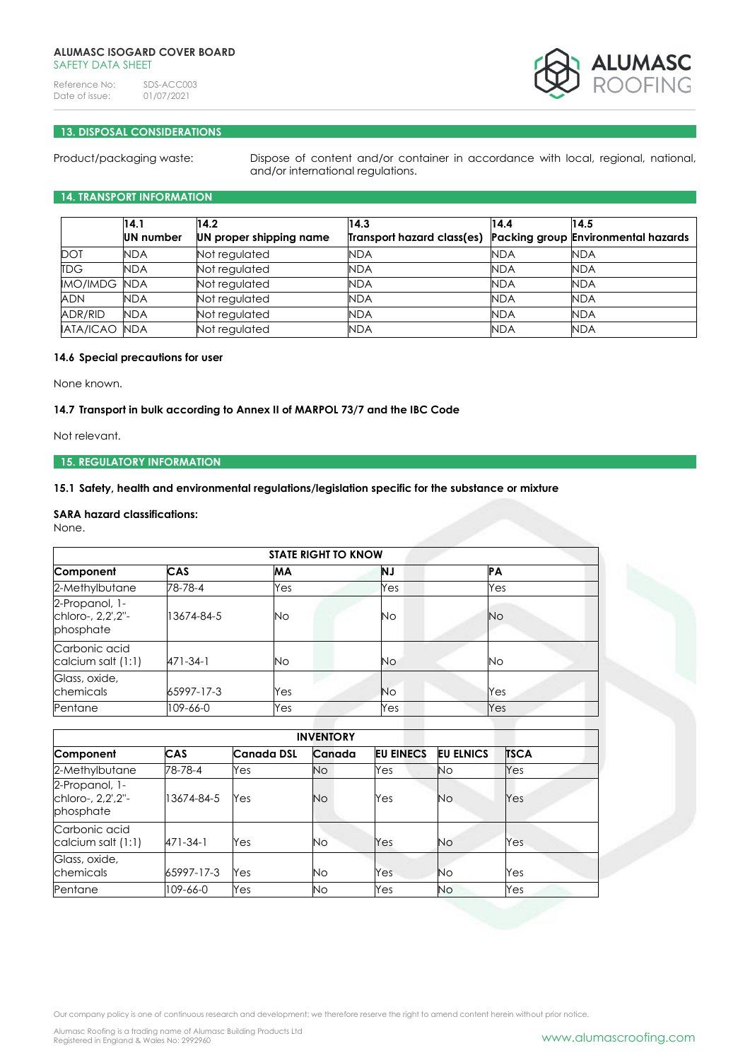Reference No: SDS-ACC003<br>Date of issue: 01/07/2021 Date of issue:



# **13. DISPOSAL CONSIDERATIONS**

Product/packaging waste: Dispose of content and/or container in accordance with local, regional, national, and/or international regulations.

# **14. TRANSPORT INFORMATION**

|                      | 14.1       | 14.2                    | 14.3                       | 14.4       | 14.5                                       |
|----------------------|------------|-------------------------|----------------------------|------------|--------------------------------------------|
|                      | UN number  | UN proper shipping name | Transport hazard class(es) |            | <b>Packing group Environmental hazards</b> |
| <b>DOT</b>           | <b>NDA</b> | Not regulated           | <b>NDA</b>                 | <b>NDA</b> | <b>NDA</b>                                 |
| <b>TDG</b>           | <b>NDA</b> | Not regulated           | <b>NDA</b>                 | <b>NDA</b> | NDA                                        |
| <b>IMO/IMDG NDA</b>  |            | Not regulated           | <b>NDA</b>                 | <b>NDA</b> | <b>NDA</b>                                 |
| <b>ADN</b>           | <b>NDA</b> | Not regulated           | <b>NDA</b>                 | <b>NDA</b> | <b>NDA</b>                                 |
| <b>ADR/RID</b>       | <b>NDA</b> | Not regulated           | <b>NDA</b>                 | <b>NDA</b> | <b>NDA</b>                                 |
| <b>IATA/ICAO NDA</b> |            | Not regulated           | <b>NDA</b>                 | <b>NDA</b> | <b>NDA</b>                                 |

# **14.6 Special precautions for user**

None known.

# **14.7 Transport in bulk according to Annex II of MARPOL 73/7 and the IBC Code**

Not relevant.

# **15. REGULATORY INFORMATION**

**15.1 Safety, health and environmental regulations/legislation specific for the substance or mixture**

# **SARA hazard classifications:**

None.

| <b>STATE RIGHT TO KNOW</b>                       |            |           |           |           |
|--------------------------------------------------|------------|-----------|-----------|-----------|
| Component                                        | <b>CAS</b> | <b>MA</b> | <b>NJ</b> | IРА       |
| 2-Methylbutane                                   | 78-78-4    | Yes       | Yes       | Yes       |
| 2-Propanol, 1-<br>chloro-, 2,2',2"-<br>phosphate | 13674-84-5 | Νo        | Νo        | <b>No</b> |
| Carbonic acid<br>calcium salt (1:1)              | 471-34-1   | No.       | Νo        | <b>No</b> |
| Glass, oxide,<br>chemicals                       | 65997-17-3 | Yes       | <b>No</b> | Yes       |
| Pentane                                          | 109-66-0   | Yes       | Yes       | Yes       |

| <b>INVENTORY</b>                                 |            |                   |           |                  |                  |             |
|--------------------------------------------------|------------|-------------------|-----------|------------------|------------------|-------------|
| Component                                        | CAS        | <b>Canada DSL</b> | Canada    | <b>EU EINECS</b> | <b>EU ELNICS</b> | <b>TSCA</b> |
| 2-Methylbutane                                   | 78-78-4    | Yes               | <b>No</b> | Yes              | <b>No</b>        | Yes         |
| 2-Propanol, 1-<br>chloro-, 2,2',2"-<br>phosphate | 13674-84-5 | Yes               | <b>No</b> | Yes              | No               | Yes         |
| Carbonic acid<br>calcium salt (1:1)              | 471-34-1   | Yes               | <b>No</b> | Yes              | No               | Yes         |
| Glass, oxide,<br>chemicals                       | 65997-17-3 | Yes               | <b>No</b> | Yes              | No               | Yes         |
| Pentane                                          | 109-66-0   | Yes               | <b>No</b> | Yes              | Νo               | Yes         |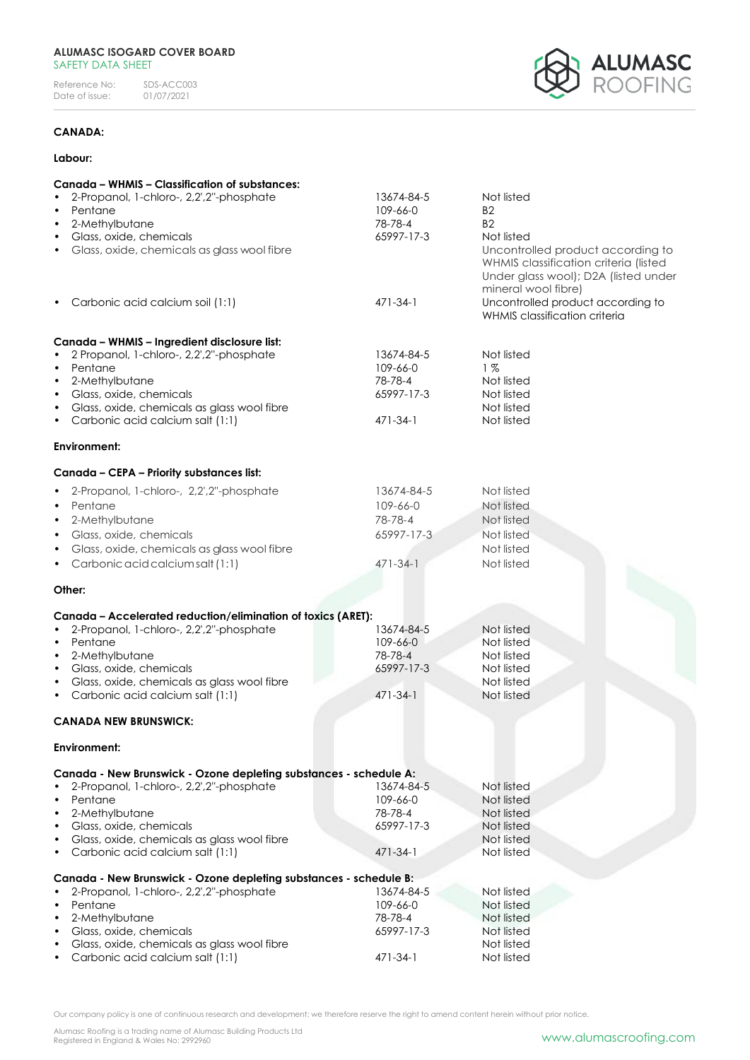Reference No: SDS-ACC003<br>Date of issue: 01/07/2021 Date of issue:



# **CANADA:**

## **Labour:**

| Canada - WHMIS - Classification of substances:                    |                |                                       |
|-------------------------------------------------------------------|----------------|---------------------------------------|
| 2-Propanol, 1-chloro-, 2,2',2"-phosphate                          | 13674-84-5     | Not listed                            |
| Pentane                                                           | 109-66-0       | B2                                    |
| 2-Methylbutane<br>$\bullet$                                       | 78-78-4        | B <sub>2</sub>                        |
| Glass, oxide, chemicals<br>$\bullet$                              | 65997-17-3     | Not listed                            |
| Glass, oxide, chemicals as glass wool fibre                       |                | Uncontrolled product according to     |
|                                                                   |                | WHMIS classification criteria (listed |
|                                                                   |                | Under glass wool); D2A (listed under  |
|                                                                   |                | mineral wool fibre)                   |
| Carbonic acid calcium soil (1:1)                                  | $471 - 34 - 1$ | Uncontrolled product according to     |
|                                                                   |                | WHMIS classification criteria         |
|                                                                   |                |                                       |
| Canada - WHMIS - Ingredient disclosure list:                      |                |                                       |
| 2 Propanol, 1-chloro-, 2,2',2"-phosphate                          | 13674-84-5     | Not listed                            |
| Pentane<br>$\bullet$                                              | 109-66-0       | 1%                                    |
| 2-Methylbutane<br>$\bullet$                                       | 78-78-4        | Not listed                            |
| Glass, oxide, chemicals<br>$\bullet$                              | 65997-17-3     | Not listed                            |
| Glass, oxide, chemicals as glass wool fibre                       |                | Not listed                            |
| Carbonic acid calcium salt (1:1)                                  | $471 - 34 - 1$ | Not listed                            |
|                                                                   |                |                                       |
| Environment:                                                      |                |                                       |
| Canada - CEPA - Priority substances list:                         |                |                                       |
| 2-Propanol, 1-chloro-, 2,2',2"-phosphate                          | 13674-84-5     | Not listed                            |
| Pentane<br>$\bullet$                                              | 109-66-0       | Not listed                            |
| 2-Methylbutane<br>$\bullet$                                       | 78-78-4        | Not listed                            |
| Glass, oxide, chemicals<br>$\bullet$                              | 65997-17-3     | Not listed                            |
| Glass, oxide, chemicals as glass wool fibre<br>$\bullet$          |                | Not listed                            |
| Carbonic acid calcium salt (1:1)<br>$\bullet$                     | $471 - 34 - 1$ | Not listed                            |
|                                                                   |                |                                       |
| Other:                                                            |                |                                       |
| Canada - Accelerated reduction/elimination of toxics (ARET):      |                |                                       |
| 2-Propanol, 1-chloro-, 2,2',2"-phosphate<br>$\bullet$             | 13674-84-5     | Not listed                            |
| Pentane<br>$\bullet$                                              | 109-66-0       | Not listed                            |
| 2-Methylbutane                                                    | 78-78-4        | Not listed                            |
| Glass, oxide, chemicals<br>$\bullet$                              | 65997-17-3     | Not listed                            |
| Glass, oxide, chemicals as glass wool fibre<br>$\bullet$          |                | Not listed                            |
| Carbonic acid calcium salt (1:1)                                  | $471 - 34 - 1$ | Not listed                            |
|                                                                   |                |                                       |
| <b>CANADA NEW BRUNSWICK:</b>                                      |                |                                       |
| Environment:                                                      |                |                                       |
| Canada - New Brunswick - Ozone depleting substances - schedule A: |                |                                       |
| 2-Propanol, 1-chloro-, 2,2',2"-phosphate                          | 13674-84-5     | Not listed                            |
| Pentane                                                           | 109-66-0       | Not listed                            |
| 2-Methylbutane<br>$\bullet$                                       | 78-78-4        | Not listed                            |
| Glass, oxide, chemicals<br>$\bullet$                              | 65997-17-3     | Not listed                            |
| Glass, oxide, chemicals as glass wool fibre<br>$\bullet$          |                | Not listed                            |
| Carbonic acid calcium salt (1:1)                                  | 471-34-1       | Not listed                            |
|                                                                   |                |                                       |
| Canada - New Brunswick - Ozone depleting substances - schedule B: |                |                                       |
| 2-Propanol, 1-chloro-, 2,2',2"-phosphate                          | 13674-84-5     | Not listed                            |
| Pentane<br>$\bullet$                                              | 109-66-0       | Not listed                            |
| 2-Methylbutane<br>$\bullet$                                       | 78-78-4        | Not listed                            |
| Glass, oxide, chemicals<br>$\bullet$                              | 65997-17-3     | Not listed                            |
| Glass, oxide, chemicals as glass wool fibre                       |                |                                       |
| Carbonic acid calcium salt (1:1)                                  | 471-34-1       | Not listed<br>Not listed              |

Our company policy is one of continuous research and development; we therefore reserve the right to amend content herein without prior notice.

Alumasc Roofing is a trading name of Alumasc Building Products Ltd<br>Registered in England & Wales No: 2992960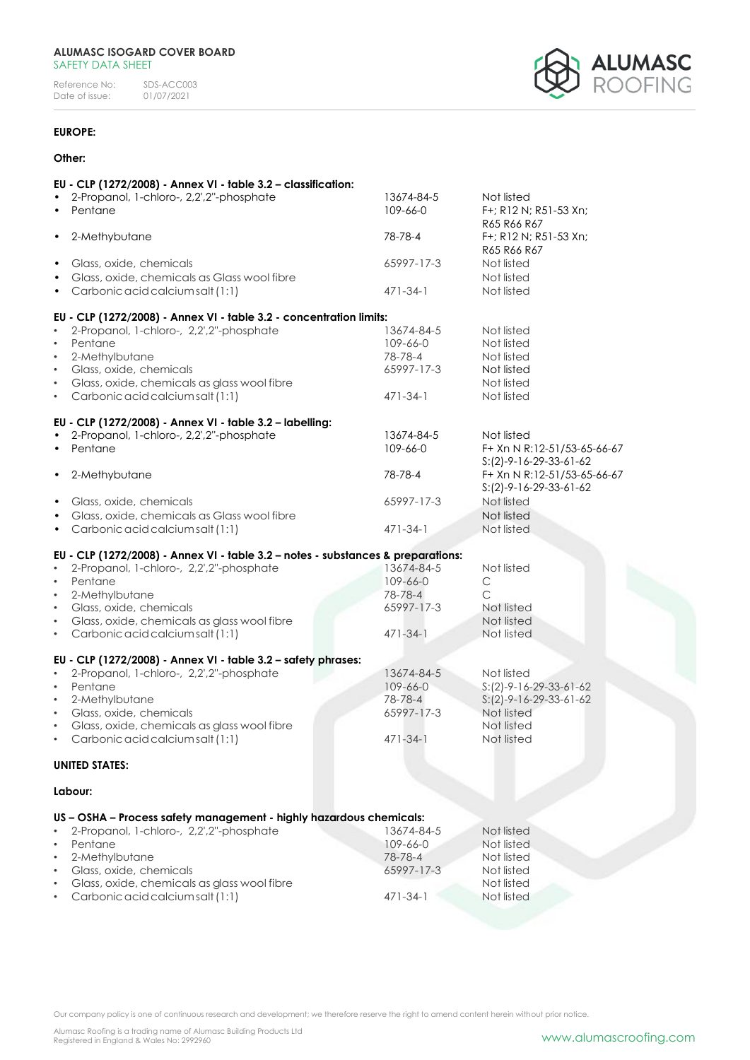Reference No: SDS-ACC003<br>Date of issue: 01/07/2021 Date of issue:



# **EUROPE:**

## **Other:**

|                        | EU - CLP (1272/2008) - Annex VI - table 3.2 - classification:                    |                       |                                        |
|------------------------|----------------------------------------------------------------------------------|-----------------------|----------------------------------------|
| $\bullet$              | 2-Propanol, 1-chloro-, 2,2',2"-phosphate                                         | 13674-84-5            | Not listed                             |
|                        | Pentane                                                                          | 109-66-0              | F+; R12 N; R51-53 Xn;                  |
|                        |                                                                                  |                       | R65 R66 R67                            |
| $\bullet$              | 2-Methybutane                                                                    | 78-78-4               | F+; R12 N; R51-53 Xn;                  |
|                        |                                                                                  |                       | R65 R66 R67                            |
| $\bullet$              | Glass, oxide, chemicals                                                          | 65997-17-3            | Not listed                             |
| $\bullet$              | Glass, oxide, chemicals as Glass wool fibre                                      |                       | Not listed                             |
|                        | Carbonic acid calcium salt (1:1)                                                 | $471 - 34 - 1$        | Not listed                             |
|                        | EU - CLP (1272/2008) - Annex VI - table 3.2 - concentration limits:              |                       |                                        |
| $\bullet$              | 2-Propanol, 1-chloro-, 2,2',2"-phosphate                                         | 13674-84-5            | Not listed                             |
| $\bullet$              | Pentane                                                                          | 109-66-0              | Not listed                             |
| $\bullet$              | 2-Methylbutane                                                                   | 78-78-4               | Not listed                             |
| $\bullet$              | Glass, oxide, chemicals                                                          | 65997-17-3            | Not listed                             |
| $\bullet$              | Glass, oxide, chemicals as glass wool fibre                                      |                       | Not listed                             |
| $\bullet$              | Carbonic acid calcium salt (1:1)                                                 | $471 - 34 - 1$        | Not listed                             |
|                        | EU - CLP (1272/2008) - Annex VI - table 3.2 - labelling:                         |                       |                                        |
|                        | 2-Propanol, 1-chloro-, 2,2',2"-phosphate                                         | 13674-84-5            | Not listed                             |
|                        | Pentane                                                                          | 109-66-0              | F+ Xn N R:12-51/53-65-66-67            |
|                        |                                                                                  |                       | $S:(2)-9-16-29-33-61-62$               |
| $\bullet$              | 2-Methybutane                                                                    | 78-78-4               | F+ Xn N R:12-51/53-65-66-67            |
|                        |                                                                                  |                       | $S:(2)-9-16-29-33-61-62$               |
| $\bullet$              | Glass, oxide, chemicals                                                          | 65997-17-3            | Not listed                             |
|                        | Glass, oxide, chemicals as Glass wool fibre                                      |                       | Not listed                             |
| $\bullet$              | Carbonic acid calcium salt (1:1)                                                 | $471 - 34 - 1$        | Not listed                             |
|                        | EU - CLP (1272/2008) - Annex VI - table 3.2 - notes - substances & preparations: |                       |                                        |
|                        | 2-Propanol, 1-chloro-, 2,2',2"-phosphate                                         | 13674-84-5            | Not listed                             |
| $\bullet$              | Pentane                                                                          | $109 - 66 - 0$        | C                                      |
| $\bullet$              | 2-Methylbutane                                                                   | 78-78-4               | $\subset$                              |
| $\bullet$              | Glass, oxide, chemicals                                                          | 65997-17-3            | Not listed                             |
| $\bullet$              | Glass, oxide, chemicals as glass wool fibre                                      |                       | Not listed                             |
| $\bullet$              | Carbonic acid calcium salt (1:1)                                                 | $471 - 34 - 1$        | Not listed                             |
|                        |                                                                                  |                       |                                        |
|                        | EU - CLP (1272/2008) - Annex VI - table 3.2 - safety phrases:                    |                       |                                        |
| $\bullet$              | 2-Propanol, 1-chloro-, 2,2',2"-phosphate                                         | 13674-84-5            | Not listed                             |
| $\bullet$              | Pentane<br>2-Methylbutane                                                        | 109-66-0              | $S:(2)-9-16-29-33-61-62$               |
| $\bullet$<br>$\bullet$ | Glass, oxide, chemicals                                                          | 78-78-4<br>65997-17-3 | $S:(2)-9-16-29-33-61-62$<br>Not listed |
| $\bullet$              | Glass, oxide, chemicals as glass wool fibre                                      |                       | Not listed                             |
|                        | Carbonic acid calcium salt (1:1)                                                 | $471 - 34 - 1$        | Not listed                             |
|                        |                                                                                  |                       |                                        |
|                        | <b>UNITED STATES:</b>                                                            |                       |                                        |
|                        | Labour:                                                                          |                       |                                        |
|                        | US - OSHA - Process safety management - highly hazardous chemicals:              |                       |                                        |
| $\bullet$              | 2-Propanol, 1-chloro-, 2,2',2"-phosphate                                         | 13674-84-5            | Not listed                             |
| $\bullet$              | Pentane                                                                          | 109-66-0              | Not listed                             |
| $\bullet$              | 2-Methylbutane                                                                   | 78-78-4               | Not listed                             |
| $\bullet$              | Glass, oxide, chemicals                                                          | 65997-17-3            | Not listed                             |
| $\bullet$              | Glass, oxide, chemicals as glass wool fibre                                      |                       | Not listed                             |
|                        | Carbonic acid calcium salt (1:1)                                                 | 471-34-1              | Not listed                             |
|                        |                                                                                  |                       |                                        |
|                        |                                                                                  |                       |                                        |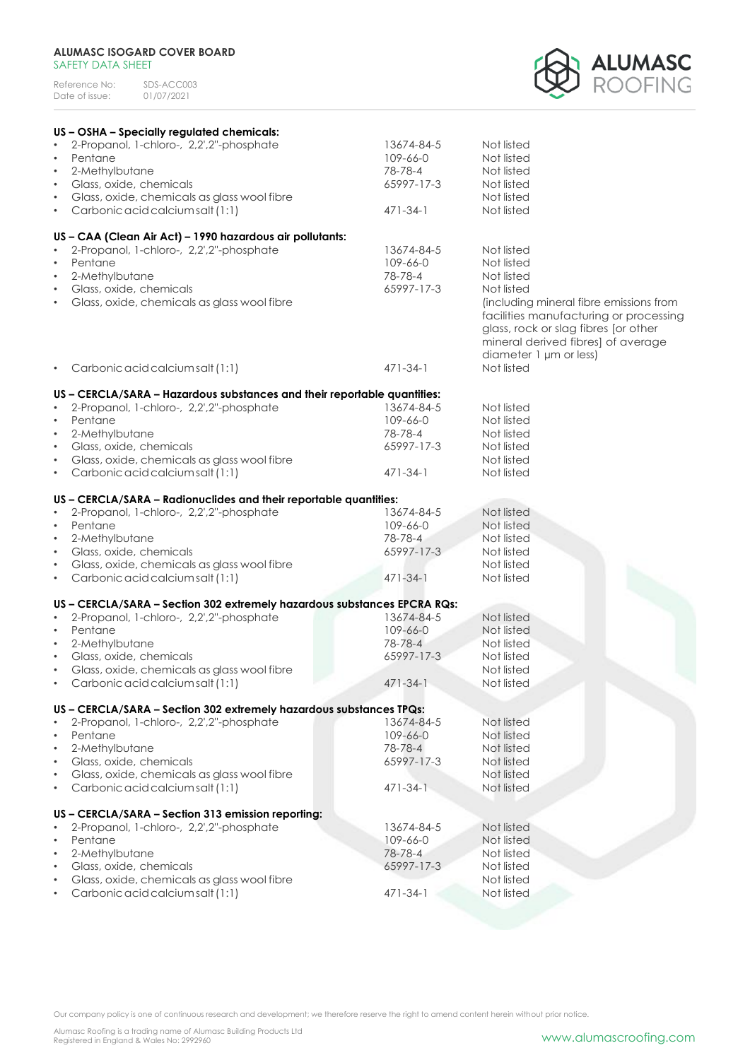| Reference No:  | SDS-ACC003 |
|----------------|------------|
| Date of issue: | 01/07/2021 |



| US - OSHA - Specially regulated chemicals:                               |                |                                         |
|--------------------------------------------------------------------------|----------------|-----------------------------------------|
| 2-Propanol, 1-chloro-, 2,2',2"-phosphate                                 | 13674-84-5     | Not listed                              |
| Pentane<br>$\bullet$                                                     | 109-66-0       | Not listed                              |
| 2-Methylbutane<br>$\bullet$                                              | 78-78-4        | Not listed                              |
| Glass, oxide, chemicals<br>$\bullet$                                     | 65997-17-3     | Not listed                              |
| Glass, oxide, chemicals as glass wool fibre<br>$\bullet$                 |                | Not listed                              |
| Carbonic acid calcium salt (1:1)                                         | $471 - 34 - 1$ | Not listed                              |
| $\bullet$                                                                |                |                                         |
| US - CAA (Clean Air Act) - 1990 hazardous air pollutants:                |                |                                         |
| 2-Propanol, 1-chloro-, 2,2',2"-phosphate                                 | 13674-84-5     | Not listed                              |
| Pentane<br>$\bullet$                                                     | 109-66-0       | Not listed                              |
| 2-Methylbutane<br>$\bullet$                                              | 78-78-4        | Not listed                              |
| Glass, oxide, chemicals<br>$\bullet$                                     | 65997-17-3     | Not listed                              |
|                                                                          |                |                                         |
| Glass, oxide, chemicals as glass wool fibre<br>$\bullet$                 |                | (including mineral fibre emissions from |
|                                                                          |                | facilities manufacturing or processing  |
|                                                                          |                | glass, rock or slag fibres [or other    |
|                                                                          |                | mineral derived fibres] of average      |
|                                                                          |                | diameter 1 µm or less)                  |
| Carbonic acid calcium salt (1:1)<br>$\bullet$                            | $471 - 34 - 1$ | Not listed                              |
|                                                                          |                |                                         |
| US - CERCLA/SARA - Hazardous substances and their reportable quantities: |                |                                         |
| 2-Propanol, 1-chloro-, 2,2',2"-phosphate<br>$\bullet$                    | 13674-84-5     | Not listed                              |
| Pentane<br>$\bullet$                                                     | 109-66-0       | Not listed                              |
| 2-Methylbutane<br>$\bullet$                                              | 78-78-4        | Not listed                              |
| Glass, oxide, chemicals<br>$\bullet$                                     | 65997-17-3     | Not listed                              |
| Glass, oxide, chemicals as glass wool fibre<br>$\bullet$                 |                | Not listed                              |
| Carbonic acid calcium salt (1:1)<br>$\bullet$                            | $471 - 34 - 1$ | Not listed                              |
|                                                                          |                |                                         |
| US - CERCLA/SARA - Radionuclides and their reportable quantities:        |                |                                         |
| 2-Propanol, 1-chloro-, 2,2',2"-phosphate<br>$\bullet$                    | 13674-84-5     | Not listed                              |
| Pentane<br>$\bullet$                                                     | 109-66-0       | Not listed                              |
| 2-Methylbutane<br>$\bullet$                                              | 78-78-4        | Not listed                              |
| Glass, oxide, chemicals<br>$\bullet$                                     | 65997-17-3     | Not listed                              |
| Glass, oxide, chemicals as glass wool fibre<br>$\bullet$                 |                | Not listed                              |
| Carbonic acid calcium salt (1:1)<br>$\bullet$                            | 471-34-1       | Not listed                              |
|                                                                          |                |                                         |
| US - CERCLA/SARA - Section 302 extremely hazardous substances EPCRA RQs: |                |                                         |
| 2-Propanol, 1-chloro-, 2,2',2"-phosphate<br>$\bullet$                    | 13674-84-5     | Not listed                              |
| Pentane<br>$\bullet$                                                     | $109 - 66 - 0$ | Not listed                              |
| 2-Methylbutane<br>$\bullet$                                              | 78-78-4        | Not listed                              |
| Glass, oxide, chemicals<br>$\bullet$                                     | 65997-17-3     | Not listed                              |
| Glass, oxide, chemicals as glass wool fibre<br>$\bullet$                 |                | Not listed                              |
| Carbonic acid calcium salt (1:1)                                         | $471 - 34 - 1$ | Not listed                              |
|                                                                          |                |                                         |
| US - CERCLA/SARA - Section 302 extremely hazardous substances TPQs:      |                |                                         |
| 2-Propanol, 1-chloro-, 2,2',2"-phosphate                                 | 13674-84-5     | Not listed                              |
| Pentane                                                                  | 109-66-0       | Not listed                              |
| 2-Methylbutane<br>$\bullet$                                              | 78-78-4        | Not listed                              |
| Glass, oxide, chemicals<br>$\bullet$                                     | 65997-17-3     | Not listed                              |
| Glass, oxide, chemicals as glass wool fibre<br>$\bullet$                 |                | Not listed                              |
| Carbonic acid calcium salt (1:1)<br>$\bullet$                            | $471 - 34 - 1$ | Not listed                              |
|                                                                          |                |                                         |
| US - CERCLA/SARA - Section 313 emission reporting:                       |                |                                         |
| 2-Propanol, 1-chloro-, 2,2',2"-phosphate                                 | 13674-84-5     | Not listed                              |
| Pentane                                                                  | 109-66-0       | Not listed                              |
| 2-Methylbutane<br>$\bullet$                                              | 78-78-4        | Not listed                              |
| Glass, oxide, chemicals<br>$\bullet$                                     | 65997-17-3     | Not listed                              |
| Glass, oxide, chemicals as glass wool fibre                              |                | Not listed                              |
| Carbonic acid calcium salt (1:1)                                         | 471-34-1       | Not listed                              |
|                                                                          |                |                                         |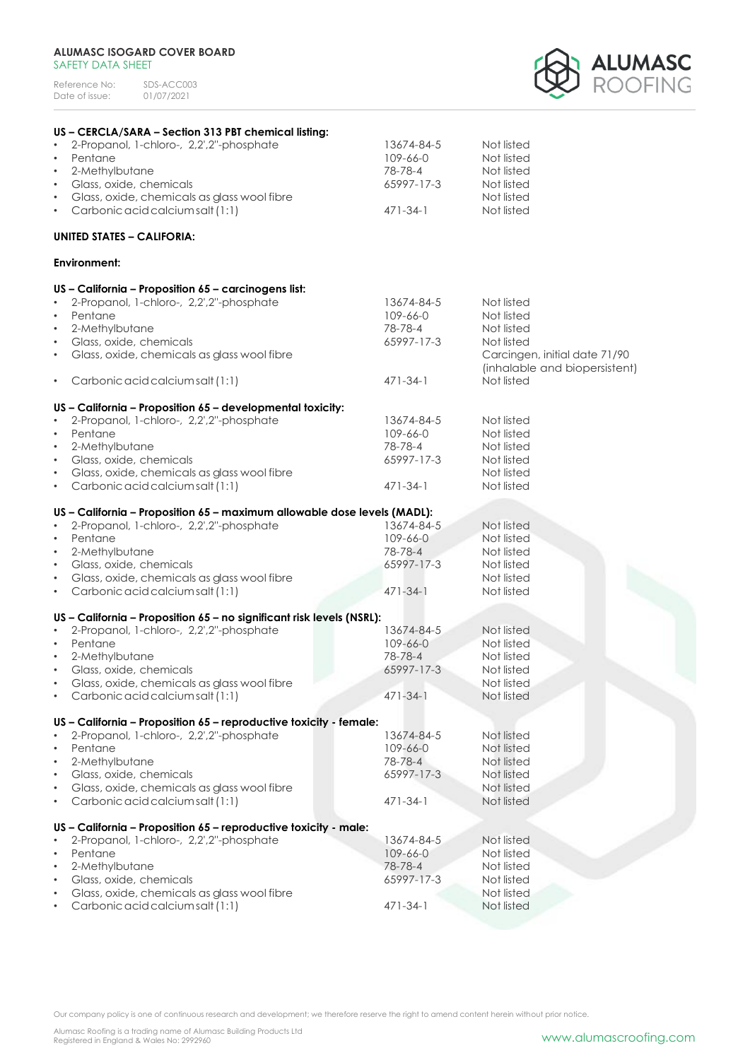Reference No: SDS-ACC003<br>Date of issue: 01/07/2021 Date of issue:



| US - CERCLA/SARA - Section 313 PBT chemical listing:                     |                |                               |
|--------------------------------------------------------------------------|----------------|-------------------------------|
| 2-Propanol, 1-chloro-, 2,2',2"-phosphate                                 | 13674-84-5     | Not listed                    |
| $\bullet$<br>Pentane                                                     | 109-66-0       | Not listed                    |
| 2-Methylbutane<br>$\bullet$                                              | 78-78-4        | Not listed                    |
| Glass, oxide, chemicals<br>$\bullet$                                     | 65997-17-3     | Not listed                    |
| Glass, oxide, chemicals as glass wool fibre<br>$\bullet$                 |                | Not listed                    |
| Carbonic acid calcium salt (1:1)<br>$\bullet$                            | $471 - 34 - 1$ | Not listed                    |
| <b>UNITED STATES - CALIFORIA:</b>                                        |                |                               |
| Environment:                                                             |                |                               |
| US - California - Proposition 65 - carcinogens list:                     |                |                               |
| 2-Propanol, 1-chloro-, 2,2',2"-phosphate<br>$\bullet$                    | 13674-84-5     | Not listed                    |
| Pentane<br>$\bullet$                                                     | 109-66-0       | Not listed                    |
| 2-Methylbutane<br>$\bullet$                                              | 78-78-4        | Not listed                    |
| Glass, oxide, chemicals<br>$\bullet$                                     | 65997-17-3     | Not listed                    |
| Glass, oxide, chemicals as glass wool fibre<br>$\bullet$                 |                | Carcingen, initial date 71/90 |
|                                                                          |                | (inhalable and biopersistent) |
| Carbonic acid calcium salt (1:1)<br>$\bullet$                            | $471 - 34 - 1$ | Not listed                    |
|                                                                          |                |                               |
| US - California - Proposition 65 - developmental toxicity:               |                |                               |
| 2-Propanol, 1-chloro-, 2,2',2"-phosphate<br>٠                            | 13674-84-5     | Not listed                    |
| Pentane<br>$\bullet$                                                     | 109-66-0       | Not listed                    |
| 2-Methylbutane<br>$\bullet$                                              | 78-78-4        | Not listed                    |
| Glass, oxide, chemicals<br>$\bullet$                                     | 65997-17-3     | Not listed                    |
| Glass, oxide, chemicals as glass wool fibre<br>$\bullet$                 |                | Not listed                    |
| Carbonic acid calcium salt (1:1)<br>$\bullet$                            | $471 - 34 - 1$ | Not listed                    |
| US - California - Proposition 65 - maximum allowable dose levels (MADL): |                |                               |
| 2-Propanol, 1-chloro-, 2,2',2"-phosphate                                 | 13674-84-5     | Not listed                    |
| Pentane<br>$\bullet$                                                     | 109-66-0       | Not listed                    |
| 2-Methylbutane<br>$\bullet$                                              | 78-78-4        | Not listed                    |
| Glass, oxide, chemicals<br>$\bullet$                                     | 65997-17-3     | Not listed                    |
| Glass, oxide, chemicals as glass wool fibre<br>$\bullet$                 |                | Not listed                    |
| Carbonic acid calcium salt (1:1)<br>$\bullet$                            | $471 - 34 - 1$ | Not listed                    |
|                                                                          |                |                               |
| US - California - Proposition 65 - no significant risk levels (NSRL):    |                |                               |
| 2-Propanol, 1-chloro-, 2,2',2"-phosphate                                 | 13674-84-5     | Not listed                    |
| Pentane<br>$\bullet$                                                     | 109-66-0       | Not listed                    |
| 2-Methylbutane<br>$\bullet$                                              | 78-78-4        | Not listed                    |
| Glass, oxide, chemicals<br>$\bullet$                                     | 65997-17-3     | Not listed                    |
| Glass, oxide, chemicals as glass wool fibre<br>٠                         |                | Not listed                    |
| Carbonic acid calcium salt (1:1)                                         | $471 - 34 - 1$ | Not listed                    |
| US - California - Proposition 65 - reproductive toxicity - female:       |                |                               |
| 2-Propanol, 1-chloro-, 2,2',2"-phosphate                                 | 13674-84-5     | Not listed                    |
| Pentane<br>$\bullet$                                                     | 109-66-0       | Not listed                    |
| 2-Methylbutane<br>$\bullet$                                              | 78-78-4        | Not listed                    |
| Glass, oxide, chemicals<br>$\bullet$                                     | 65997-17-3     | Not listed                    |
| Glass, oxide, chemicals as glass wool fibre                              |                | Not listed                    |
| Carbonic acid calcium salt (1:1)                                         | 471-34-1       | Not listed                    |
|                                                                          |                |                               |
| US - California - Proposition 65 - reproductive toxicity - male:         |                |                               |
| 2-Propanol, 1-chloro-, 2,2',2"-phosphate                                 | 13674-84-5     | Not listed                    |
| Pentane<br>$\bullet$                                                     | 109-66-0       | Not listed                    |
| 2-Methylbutane<br>٠                                                      | 78-78-4        | Not listed                    |
| Glass, oxide, chemicals                                                  | 65997-17-3     | Not listed                    |
| Glass, oxide, chemicals as glass wool fibre                              |                | Not listed                    |
| Carbonic acid calcium salt (1:1)                                         | $471 - 34 - 1$ | Not listed                    |